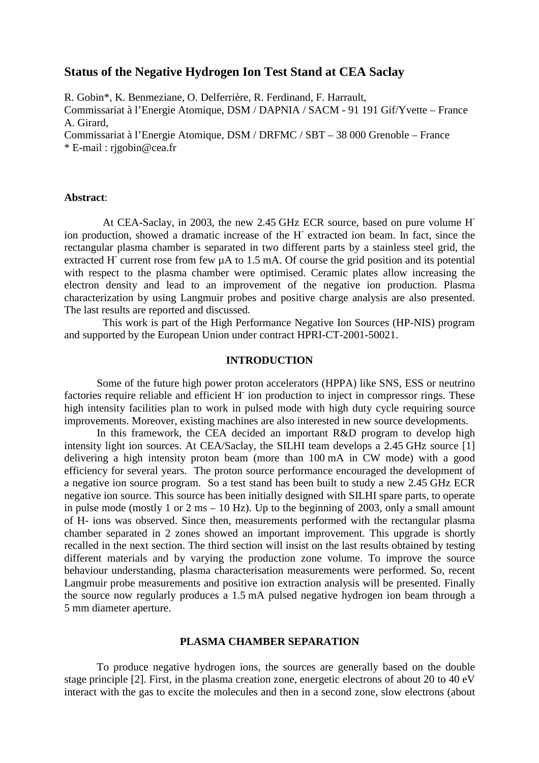# **Status of the Negative Hydrogen Ion Test Stand at CEA Saclay**

R. Gobin\*, K. Benmeziane, O. Delferrière, R. Ferdinand, F. Harrault, Commissariat à l'Energie Atomique, DSM / DAPNIA / SACM - 91 191 Gif/Yvette – France A. Girard, Commissariat à l'Energie Atomique, DSM / DRFMC / SBT – 38 000 Grenoble – France \* E-mail : rjgobin@cea.fr

**Abstract**:

At CEA-Saclay, in 2003, the new 2.45 GHz ECR source, based on pure volume Hion production, showed a dramatic increase of the H- extracted ion beam. In fact, since the rectangular plasma chamber is separated in two different parts by a stainless steel grid, the extracted H<sup>-</sup> current rose from few  $\mu A$  to 1.5 mA. Of course the grid position and its potential with respect to the plasma chamber were optimised. Ceramic plates allow increasing the electron density and lead to an improvement of the negative ion production. Plasma characterization by using Langmuir probes and positive charge analysis are also presented. The last results are reported and discussed.

This work is part of the High Performance Negative Ion Sources (HP-NIS) program and supported by the European Union under contract HPRI-CT-2001-50021.

### **INTRODUCTION**

Some of the future high power proton accelerators (HPPA) like SNS, ESS or neutrino factories require reliable and efficient H ion production to inject in compressor rings. These high intensity facilities plan to work in pulsed mode with high duty cycle requiring source improvements. Moreover, existing machines are also interested in new source developments.

In this framework, the CEA decided an important R&D program to develop high intensity light ion sources. At CEA/Saclay, the SILHI team develops a 2.45 GHz source [1] delivering a high intensity proton beam (more than 100 mA in CW mode) with a good efficiency for several years. The proton source performance encouraged the development of a negative ion source program. So a test stand has been built to study a new 2.45 GHz ECR negative ion source. This source has been initially designed with SILHI spare parts, to operate in pulse mode (mostly 1 or 2 ms – 10 Hz). Up to the beginning of 2003, only a small amount of H- ions was observed. Since then, measurements performed with the rectangular plasma chamber separated in 2 zones showed an important improvement. This upgrade is shortly recalled in the next section. The third section will insist on the last results obtained by testing different materials and by varying the production zone volume. To improve the source behaviour understanding, plasma characterisation measurements were performed. So, recent Langmuir probe measurements and positive ion extraction analysis will be presented. Finally the source now regularly produces a 1.5 mA pulsed negative hydrogen ion beam through a 5 mm diameter aperture.

#### **PLASMA CHAMBER SEPARATION**

To produce negative hydrogen ions, the sources are generally based on the double stage principle [2]. First, in the plasma creation zone, energetic electrons of about 20 to 40 eV interact with the gas to excite the molecules and then in a second zone, slow electrons (about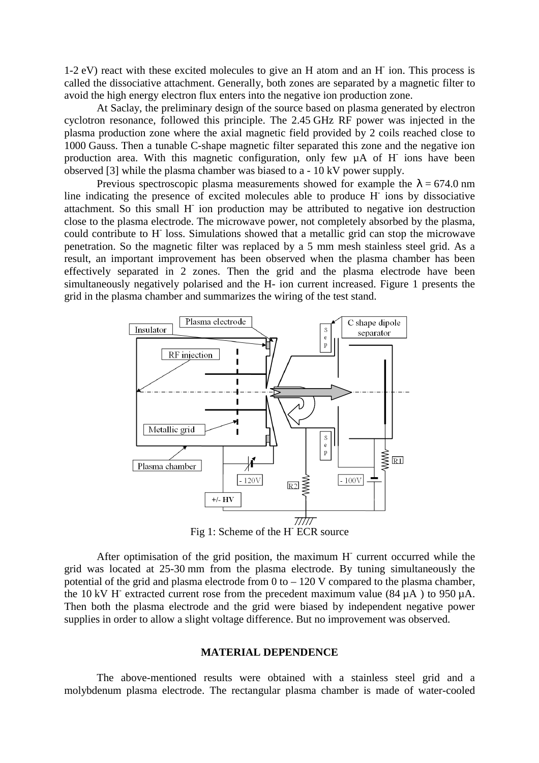1-2 eV) react with these excited molecules to give an H atom and an H- ion. This process is called the dissociative attachment. Generally, both zones are separated by a magnetic filter to avoid the high energy electron flux enters into the negative ion production zone.

At Saclay, the preliminary design of the source based on plasma generated by electron cyclotron resonance, followed this principle. The 2.45 GHz RF power was injected in the plasma production zone where the axial magnetic field provided by 2 coils reached close to 1000 Gauss. Then a tunable C-shape magnetic filter separated this zone and the negative ion production area. With this magnetic configuration, only few  $\mu$ A of H<sup>-</sup> ions have been observed [3] while the plasma chamber was biased to a - 10 kV power supply.

Previous spectroscopic plasma measurements showed for example the  $\lambda = 674.0$  nm line indicating the presence of excited molecules able to produce H<sup>-</sup>ions by dissociative attachment. So this small H- ion production may be attributed to negative ion destruction close to the plasma electrode. The microwave power, not completely absorbed by the plasma, could contribute to H<sup>-</sup> loss. Simulations showed that a metallic grid can stop the microwave penetration. So the magnetic filter was replaced by a 5 mm mesh stainless steel grid. As a result, an important improvement has been observed when the plasma chamber has been effectively separated in 2 zones. Then the grid and the plasma electrode have been simultaneously negatively polarised and the H- ion current increased. Figure 1 presents the grid in the plasma chamber and summarizes the wiring of the test stand.



Fig 1: Scheme of the H<sup>-1111</sup> ECR source

After optimisation of the grid position, the maximum H<sup>-</sup> current occurred while the grid was located at 25-30 mm from the plasma electrode. By tuning simultaneously the potential of the grid and plasma electrode from  $0$  to  $-120$  V compared to the plasma chamber. the 10 kV H<sup>-</sup> extracted current rose from the precedent maximum value (84  $\mu$ A) to 950  $\mu$ A. Then both the plasma electrode and the grid were biased by independent negative power supplies in order to allow a slight voltage difference. But no improvement was observed.

## **MATERIAL DEPENDENCE**

The above-mentioned results were obtained with a stainless steel grid and a molybdenum plasma electrode. The rectangular plasma chamber is made of water-cooled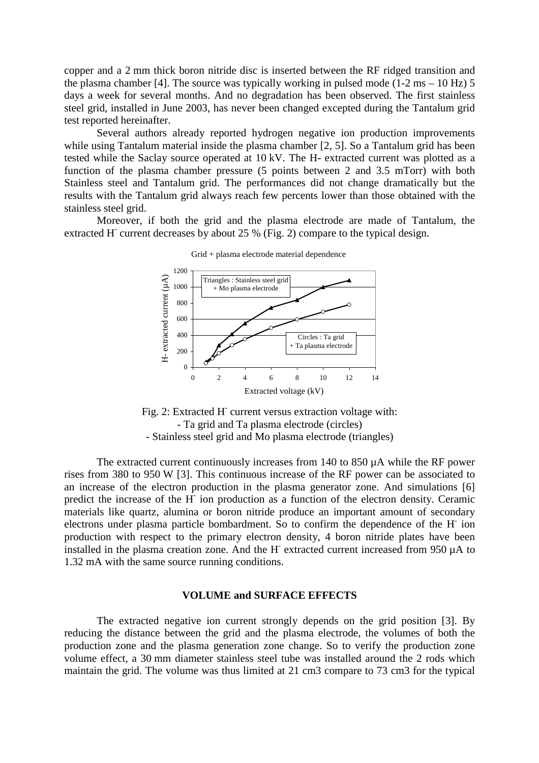copper and a 2 mm thick boron nitride disc is inserted between the RF ridged transition and the plasma chamber [4]. The source was typically working in pulsed mode (1-2 ms – 10 Hz) 5 days a week for several months. And no degradation has been observed. The first stainless steel grid, installed in June 2003, has never been changed excepted during the Tantalum grid test reported hereinafter.

Several authors already reported hydrogen negative ion production improvements while using Tantalum material inside the plasma chamber [2, 5]. So a Tantalum grid has been tested while the Saclay source operated at 10 kV. The H- extracted current was plotted as a function of the plasma chamber pressure (5 points between 2 and 3.5 mTorr) with both Stainless steel and Tantalum grid. The performances did not change dramatically but the results with the Tantalum grid always reach few percents lower than those obtained with the stainless steel grid.

Moreover, if both the grid and the plasma electrode are made of Tantalum, the extracted H<sup>-</sup> current decreases by about 25 % (Fig. 2) compare to the typical design.



Grid + plasma electrode material dependence

Fig. 2: Extracted H current versus extraction voltage with: - Ta grid and Ta plasma electrode (circles) - Stainless steel grid and Mo plasma electrode (triangles)

The extracted current continuously increases from 140 to 850  $\mu$ A while the RF power rises from 380 to 950 W [3]. This continuous increase of the RF power can be associated to an increase of the electron production in the plasma generator zone. And simulations [6] predict the increase of the H<sup>-</sup> ion production as a function of the electron density. Ceramic materials like quartz, alumina or boron nitride produce an important amount of secondary electrons under plasma particle bombardment. So to confirm the dependence of the H- ion production with respect to the primary electron density, 4 boron nitride plates have been installed in the plasma creation zone. And the H- extracted current increased from  $950 \mu A$  to 1.32 mA with the same source running conditions.

### **VOLUME and SURFACE EFFECTS**

The extracted negative ion current strongly depends on the grid position [3]. By reducing the distance between the grid and the plasma electrode, the volumes of both the production zone and the plasma generation zone change. So to verify the production zone volume effect, a 30 mm diameter stainless steel tube was installed around the 2 rods which maintain the grid. The volume was thus limited at 21 cm3 compare to 73 cm3 for the typical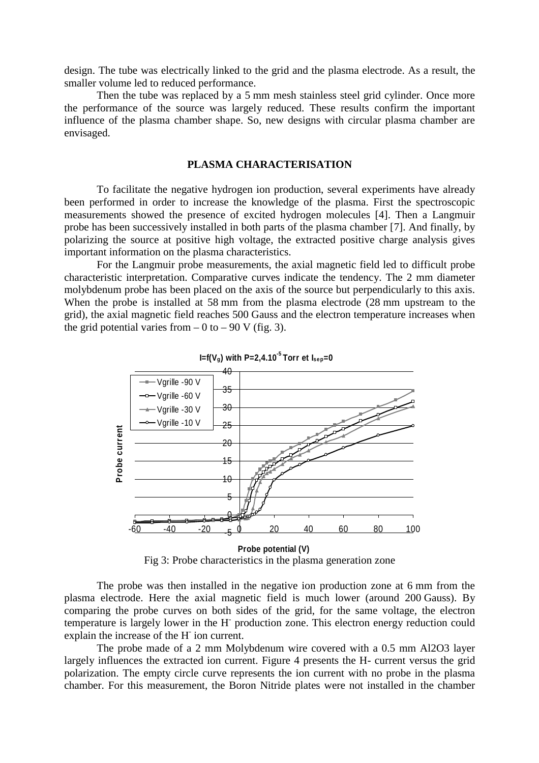design. The tube was electrically linked to the grid and the plasma electrode. As a result, the smaller volume led to reduced performance.

Then the tube was replaced by a 5 mm mesh stainless steel grid cylinder. Once more the performance of the source was largely reduced. These results confirm the important influence of the plasma chamber shape. So, new designs with circular plasma chamber are envisaged.

## **PLASMA CHARACTERISATION**

To facilitate the negative hydrogen ion production, several experiments have already been performed in order to increase the knowledge of the plasma. First the spectroscopic measurements showed the presence of excited hydrogen molecules [4]. Then a Langmuir probe has been successively installed in both parts of the plasma chamber [7]. And finally, by polarizing the source at positive high voltage, the extracted positive charge analysis gives important information on the plasma characteristics.

For the Langmuir probe measurements, the axial magnetic field led to difficult probe characteristic interpretation. Comparative curves indicate the tendency. The 2 mm diameter molybdenum probe has been placed on the axis of the source but perpendicularly to this axis. When the probe is installed at 58 mm from the plasma electrode (28 mm upstream to the grid), the axial magnetic field reaches 500 Gauss and the electron temperature increases when the grid potential varies from  $-0$  to  $-90$  V (fig. 3).





Fig 3: Probe characteristics in the plasma generation zone

The probe was then installed in the negative ion production zone at 6 mm from the plasma electrode. Here the axial magnetic field is much lower (around 200 Gauss). By comparing the probe curves on both sides of the grid, for the same voltage, the electron temperature is largely lower in the H<sup>-</sup> production zone. This electron energy reduction could explain the increase of the H<sup>-</sup>ion current.

The probe made of a 2 mm Molybdenum wire covered with a 0.5 mm Al2O3 layer largely influences the extracted ion current. Figure 4 presents the H- current versus the grid polarization. The empty circle curve represents the ion current with no probe in the plasma chamber. For this measurement, the Boron Nitride plates were not installed in the chamber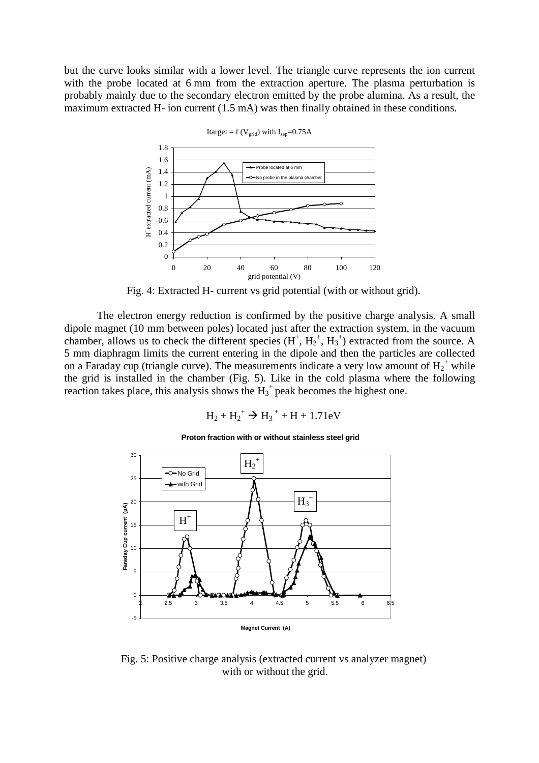but the curve looks similar with a lower level. The triangle curve represents the ion current with the probe located at 6 mm from the extraction aperture. The plasma perturbation is probably mainly due to the secondary electron emitted by the probe alumina. As a result, the maximum extracted H- ion current (1.5 mA) was then finally obtained in these conditions.



Fig. 4: Extracted H- current vs grid potential (with or without grid).

The electron energy reduction is confirmed by the positive charge analysis. A small dipole magnet (10 mm between poles) located just after the extraction system, in the vacuum chamber, allows us to check the different species  $(H^+, H_2^+, H_3^+)$  extracted from the source. A 5 mm diaphragm limits the current entering in the dipole and then the particles are collected on a Faraday cup (triangle curve). The measurements indicate a very low amount of  $H_2^+$  while the grid is installed in the chamber (Fig. 5). Like in the cold plasma where the following reaction takes place, this analysis shows the  $H_3$ <sup>+</sup> peak becomes the highest one.

$$
{H_2} + {H_2}^+ \to {H_3}^+ + H + 1.71 eV
$$



**Proton fraction with or without stainless steel grid** 

Fig. 5: Positive charge analysis (extracted current vs analyzer magnet) with or without the grid.